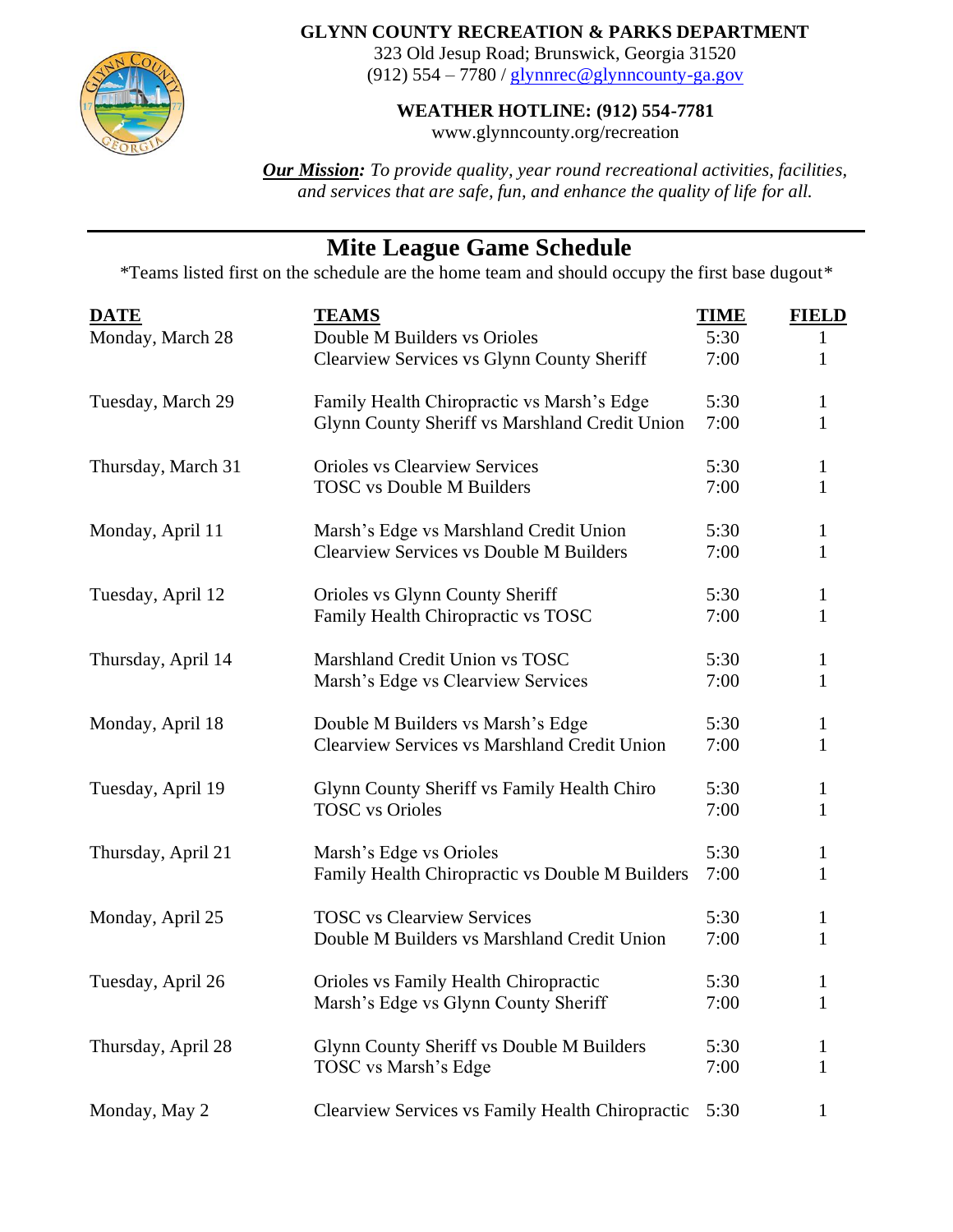

## **GLYNN COUNTY RECREATION & PARKS DEPARTMENT**

323 Old Jesup Road; Brunswick, Georgia 31520 (912)  $554 - 7780$  / [glynnrec@glynncounty-ga.gov](mailto:glynnrec@glynncounty-ga.gov)

**WEATHER HOTLINE: (912) 554-7781**

www.glynncounty.org/recreation

*Our Mission: To provide quality, year round recreational activities, facilities, and services that are safe, fun, and enhance the quality of life for all.*

## **Mite League Game Schedule**

\*Teams listed first on the schedule are the home team and should occupy the first base dugout\*

| <b>DATE</b>        | <b>TEAMS</b>                                        | <b>TIME</b> | <b>FIELD</b> |
|--------------------|-----------------------------------------------------|-------------|--------------|
| Monday, March 28   | Double M Builders vs Orioles                        | 5:30        | 1            |
|                    | Clearview Services vs Glynn County Sheriff          | 7:00        | $\mathbf{1}$ |
| Tuesday, March 29  | Family Health Chiropractic vs Marsh's Edge          | 5:30        | 1            |
|                    | Glynn County Sheriff vs Marshland Credit Union      | 7:00        | $\mathbf{1}$ |
| Thursday, March 31 | <b>Orioles vs Clearview Services</b>                | 5:30        | 1            |
|                    | <b>TOSC</b> vs Double M Builders                    | 7:00        | $\mathbf{1}$ |
| Monday, April 11   | Marsh's Edge vs Marshland Credit Union              | 5:30        | $\mathbf 1$  |
|                    | <b>Clearview Services vs Double M Builders</b>      | 7:00        | $\mathbf{1}$ |
| Tuesday, April 12  | Orioles vs Glynn County Sheriff                     | 5:30        | $\mathbf 1$  |
|                    | Family Health Chiropractic vs TOSC                  | 7:00        | $\mathbf{1}$ |
| Thursday, April 14 | Marshland Credit Union vs TOSC                      | 5:30        | 1            |
|                    | Marsh's Edge vs Clearview Services                  | 7:00        | $\mathbf{1}$ |
| Monday, April 18   | Double M Builders vs Marsh's Edge                   | 5:30        | $\mathbf{1}$ |
|                    | <b>Clearview Services vs Marshland Credit Union</b> | 7:00        | $\mathbf{1}$ |
| Tuesday, April 19  | Glynn County Sheriff vs Family Health Chiro         | 5:30        | 1            |
|                    | <b>TOSC</b> vs Orioles                              | 7:00        | $\mathbf{1}$ |
| Thursday, April 21 | Marsh's Edge vs Orioles                             | 5:30        | $\mathbf{1}$ |
|                    | Family Health Chiropractic vs Double M Builders     | 7:00        | $\mathbf{1}$ |
| Monday, April 25   | <b>TOSC</b> vs Clearview Services                   | 5:30        | $\mathbf{1}$ |
|                    | Double M Builders vs Marshland Credit Union         | 7:00        | $\mathbf{1}$ |
| Tuesday, April 26  | Orioles vs Family Health Chiropractic               | 5:30        | 1            |
|                    | Marsh's Edge vs Glynn County Sheriff                | 7:00        | 1            |
| Thursday, April 28 | Glynn County Sheriff vs Double M Builders           | 5:30        |              |
|                    | TOSC vs Marsh's Edge                                | 7:00        | 1            |
| Monday, May 2      | Clearview Services vs Family Health Chiropractic    | 5:30        |              |